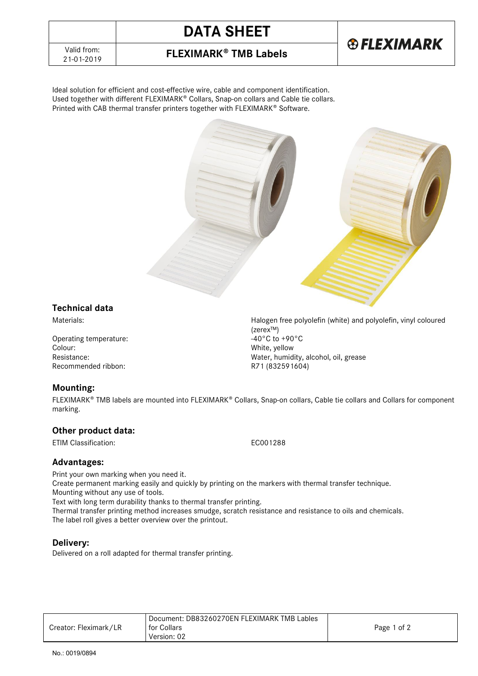## **DATA SHEET**



### **FLEXIMARK<sup>®</sup> TMB Labels**

Ideal solution for efficient and cost-effective wire, cable and component identification. Used together with different FLEXIMARK® Collars, Snap-on collars and Cable tie collars. Printed with CAB thermal transfer printers together with FLEXIMARK® Software.



#### **Technical data**

Materials: Halogen free polyolefin (white) and polyolefin, vinyl coloured

Operating temperature:<br>Colour: Resistance: Water, humidity, alcohol, oil, grease Recommended ribbon: R71 (832591604)

### **Mounting:**

FLEXIMARK<sup>®</sup> TMB labels are mounted into FLEXIMARK® Collars, Snap-on collars, Cable tie collars and Collars for component marking.

#### **Other product data:**

ETIM Classification: EC001288

(zerex™)<br>-40°C to +90°C

White, yellow

#### **Advantages:**

Print your own marking when you need it. Create permanent marking easily and quickly by printing on the markers with thermal transfer technique. Mounting without any use of tools. Text with long term durability thanks to thermal transfer printing.

Thermal transfer printing method increases smudge, scratch resistance and resistance to oils and chemicals. The label roll gives a better overview over the printout.

### **Delivery:**

Delivered on a roll adapted for thermal transfer printing.

|                       | Document: DB83260270EN FLEXIMARK TMB Lables |             |
|-----------------------|---------------------------------------------|-------------|
| Creator: Fleximark/LR | for Collars                                 | Page 1 of 2 |
|                       | Version: 02                                 |             |